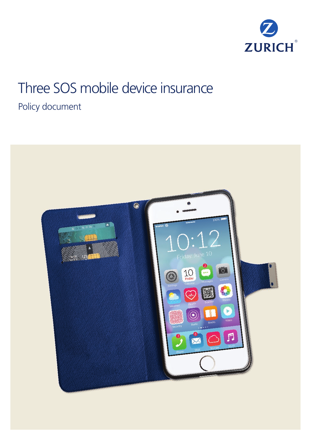

# Three SOS mobile device insurance

# Policy document

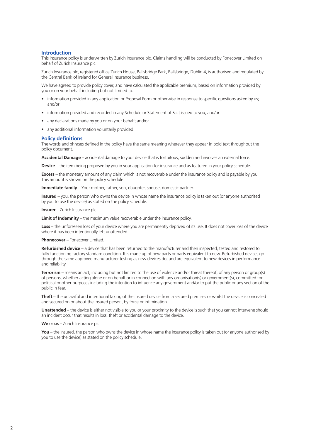#### **Introduction**

This insurance policy is underwritten by Zurich Insurance plc. Claims handling will be conducted by Fonecover Limited on behalf of Zurich Insurance plc.

Zurich Insurance plc, registered office Zurich House, Ballsbridge Park, Ballsbridge, Dublin 4, is authorised and regulated by the Central Bank of Ireland for General Insurance business.

We have agreed to provide policy cover, and have calculated the applicable premium, based on information provided by you or on your behalf including but not limited to:

- information provided in any application or Proposal Form or otherwise in response to specific questions asked by us; and/or
- information provided and recorded in any Schedule or Statement of Fact issued to you; and/or
- any declarations made by you or on your behalf; and/or
- any additional information voluntarily provided.

#### **Policy definitions**

The words and phrases defined in the policy have the same meaning wherever they appear in bold text throughout the policy document.

**Accidental Damage** – accidental damage to your device that is fortuitous, sudden and involves an external force.

**Device** – the item being proposed by you in your application for insurance and as featured in your policy schedule.

**Excess** – the monetary amount of any claim which is not recoverable under the insurance policy and is payable by you. This amount is shown on the policy schedule.

**Immediate family** – Your mother, father, son, daughter, spouse, domestic partner.

**Insured** – you, the person who owns the device in whose name the insurance policy is taken out (or anyone authorised by you to use the device) as stated on the policy schedule.

#### **Insurer** – Zurich Insurance plc.

**Limit of Indemnity** – the maximum value recoverable under the insurance policy.

**Loss** – the unforeseen loss of your device where you are permanently deprived of its use. It does not cover loss of the device where it has been intentionally left unattended.

#### **Phonecover** – Fonecover Limited.

**Refurbished device** – a device that has been returned to the manufacturer and then inspected, tested and restored to fully functioning factory standard condition. It is made up of new parts or parts equivalent to new. Refurbished devices go through the same approved manufacturer testing as new devices do, and are equivalent to new devices in performance and reliability.

**Terrorism** – means an act, including but not limited to the use of violence and/or threat thereof, of any person or group(s) of persons, whether acting alone or on behalf or in connection with any organisation(s) or government(s), committed for political or other purposes including the intention to influence any government and/or to put the public or any section of the public in fear.

**Theft** – the unlawful and intentional taking of the insured device from a secured premises or whilst the device is concealed and secured on or about the insured person, by force or intimidation.

**Unattended** – the device is either not visible to you or your proximity to the device is such that you cannot intervene should an incident occur that results in loss, theft or accidental damage to the device.

**We** or **us** – Zurich Insurance plc.

**You** – the insured, the person who owns the device in whose name the insurance policy is taken out (or anyone authorised by you to use the device) as stated on the policy schedule.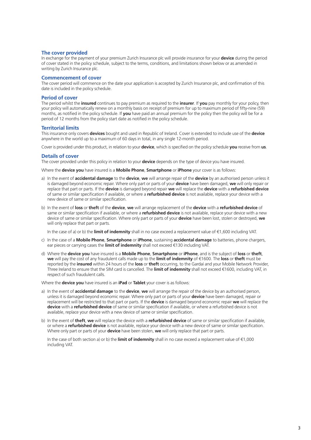#### **The cover provided**

In exchange for the payment of your premium Zurich Insurance plc will provide insurance for your **device** during the period of cover stated in the policy schedule, subject to the terms, conditions, and limitations shown below or as amended in writing by Zurich Insurance plc.

#### **Commencement of cover**

The cover period will commence on the date your application is accepted by Zurich Insurance plc, and confirmation of this date is included in the policy schedule.

#### **Period of cover**

The period whilst the **insured** continues to pay premium as required to the **insurer**. If **you** pay monthly for your policy, then your policy will automatically renew on a monthly basis on receipt of premium for up to maximum period of fifty-nine (59) months, as notified in the policy schedule. If **you** have paid an annual premium for the policy then the policy will be for a period of 12 months from the policy start date as notified in the policy schedule.

#### **Territorial limits**

This insurance only covers **devices** bought and used in Republic of Ireland. Cover is extended to include use of the **device** anywhere in the world up to a maximum of 60 days in total, in any single 12-month period.

Cover is provided under this product, in relation to your **device**, which is specified on the policy schedule **you** receive from **us**.

#### **Details of cover**

The cover provided under this policy in relation to your **device** depends on the type of device you have insured.

Where the **device you** have insured is a **Mobile Phone**, **Smartphone** or **iPhone** your cover is as follows:

- a) In the event of **accidental damage** to the **device**, **we** will arrange repair of the **device** by an authorised person unless it is damaged beyond economic repair. Where only part or parts of your **device** have been damaged, **we** will only repair or replace that part or parts. If the **device** is damaged beyond repair **we** will replace the **device** with a **refurbished device** of same or similar specification if available, or where a **refurbished device** is not available, replace your device with a new device of same or similar specification.
- b) In the event of **loss** or **theft** of the **device**, **we** will arrange replacement of the **device** with a **refurbished device** of same or similar specification if available, or where a **refurbished device** is not available, replace your device with a new device of same or similar specification. Where only part or parts of your **device** have been lost, stolen or destroyed, **we** will only replace that part or parts.

In the case of a) or b) the **limit of indemnity** shall in no case exceed a replacement value of €1,600 including VAT.

- c) In the case of a **Mobile Phone**, **Smartphone** or **iPhone**, sustaining **accidental damage** to batteries, phone chargers, ear pieces or carrying cases the **limit of indemnity** shall not exceed €130 including VAT.
- d) Where the **device you** have insured is a **Mobile Phone**, **Smartphone** or **iPhone**, and is the subject of **loss** or **theft**, **we** will pay the cost of any fraudulent calls made up to the **limit of indemnity** of €1600. The **loss** or **theft** must be reported by the **insured** within 24 hours of the **loss** or **theft** occurring, to the Gardaí and your Mobile Network Provider, Three Ireland to ensure that the SIM card is cancelled. The **limit of indemnity** shall not exceed €1600, including VAT, in respect of such fraudulent calls.

Where the **device you** have insured is an **iPad** or **Tablet** your cover is as follows:

- a) In the event of **accidental damage** to the **device**, **we** will arrange the repair of the device by an authorised person, unless it is damaged beyond economic repair. Where only part or parts of your **device** have been damaged, repair or replacement will be restricted to that part or parts. If the **device** is damaged beyond economic repair **we** will replace the **device** with a **refurbished device** of same or similar specification if available, or where a refurbished device is not available, replace your device with a new device of same or similar specification.
- b) In the event of **theft**, **we** will replace the device with a **refurbished device** of same or similar specification if available, or where a **refurbished device** is not available, replace your device with a new device of same or similar specification. Where only part or parts of your **device** have been stolen, **we** will only replace that part or parts.

In the case of both section a) or b) the **limit of indemnity** shall in no case exceed a replacement value of €1,000 including VAT.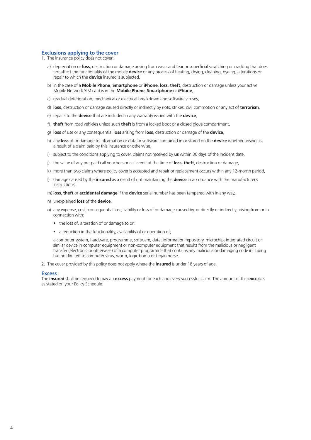#### **Exclusions applying to the cover**

- 1. The insurance policy does not cover:
	- a) depreciation or **loss**, destruction or damage arising from wear and tear or superficial scratching or cracking that does not affect the functionality of the mobile **device** or any process of heating, drying, cleaning, dyeing, alterations or repair to which the **device** insured is subjected,
	- b) in the case of a **Mobile Phone**, **Smartphone** or **iPhone**, **loss**, **theft**, destruction or damage unless your active Mobile Network SIM card is in the **Mobile Phone**, **Smartphone** or **iPhone**,
	- c) gradual deterioration, mechanical or electrical breakdown and software viruses,
	- d) **loss**, destruction or damage caused directly or indirectly by riots, strikes, civil commotion or any act of **terrorism**,
	- e) repairs to the **device** that are included in any warranty issued with the **device**,
	- f) **theft** from road vehicles unless such **theft** is from a locked boot or a closed glove compartment,
	- g) **loss** of use or any consequential **loss** arising from **loss**, destruction or damage of the **device**,
	- h) any **loss** of or damage to information or data or software contained in or stored on the **device** whether arising as a result of a claim paid by this insurance or otherwise,
	- i) subject to the conditions applying to cover, claims not received by **us** within 30 days of the incident date,
	- j) the value of any pre-paid call vouchers or call credit at the time of **loss**, **theft**, destruction or damage,
	- k) more than two claims where policy cover is accepted and repair or replacement occurs within any 12-month period,
	- l) damage caused by the **insured** as a result of not maintaining the **device** in accordance with the manufacturer's instructions,
	- m) **loss**, **theft** or **accidental damage** if the **device** serial number has been tampered with in any way,
	- n) unexplained **loss** of the **device**,
	- o) any expense, cost, consequential loss, liability or loss of or damage caused by, or directly or indirectly arising from or in connection with:
		- the loss of, alteration of or damage to or;
		- a reduction in the functionality, availability of or operation of;

a computer system, hardware, programme, software, data, information repository, microchip, integrated circuit or similar device in computer equipment or non-computer equipment that results from the malicious or negligent transfer (electronic or otherwise) of a computer programme that contains any malicious or damaging code including but not limited to computer virus, worm, logic bomb or trojan horse.

2. The cover provided by this policy does not apply where the **insured** is under 18 years of age.

#### **Excess**

The **insured** shall be required to pay an **excess** payment for each and every successful claim. The amount of this **excess** is as stated on your Policy Schedule.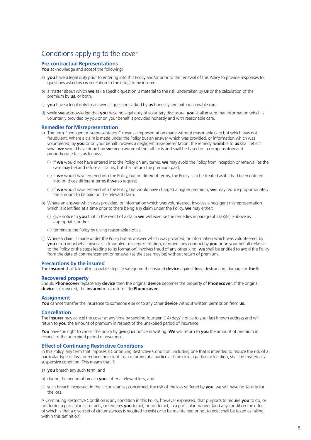## Conditions applying to the cover

#### **Pre-contractual Representations**

**You** acknowledge and accept the following:

- a) **you** have a legal duty prior to entering into this Policy and/or prior to the renewal of this Policy to provide responses to questions asked by **us** in relation to the risk(s) to be insured.
- b) a matter about which **we** ask a specific question is material to the risk undertaken by **us** or the calculation of the premium by **us**, or both.
- c) **you** have a legal duty to answer all questions asked by **us** honestly and with reasonable care.
- d) while **we** acknowledge that **you** have no legal duty of voluntary disclosure, **you** shall ensure that information which is voluntarily provided by you or on your behalf is provided honestly and with reasonable care.

#### **Remedies for Misrepresentation**

- a) The term "negligent misrepresentation" means a representation made without reasonable care but which was not fraudulent. Where a claim is made under the Policy but an answer which was provided, or information which was volunteered, by **you** or on your behalf involves a negligent misrepresentation, the remedy available to **us** shall reflect what **we** would have done had **we** been aware of the full facts and shall be based on a compensatory and proportionate test, as follows:
	- (i) if **we** would not have entered into the Policy on any terms, **we** may avoid the Policy from inception or renewal (as the case may be) and refuse all claims, but shall return the premium paid;
	- (ii) if **we** would have entered into the Policy, but on different terms, the Policy is to be treated as if it had been entered into on those different terms if **we** so require;
	- (iii) if **we** would have entered into the Policy, but would have charged a higher premium, **we** may reduce proportionately the amount to be paid on the relevant claim.
- b) Where an answer which was provided, or information which was volunteered, involves a negligent misrepresentation which is identified at a time prior to there being any claim under the Policy, **we** may either:
	- (i) give notice to **you** that in the event of a claim **we** will exercise the remedies in paragraphs (a)(i)-(iii) above as appropriate; and/or
	- (ii) terminate the Policy by giving reasonable notice.
- c) Where a claim is made under the Policy but an answer which was provided, or information which was volunteered, by **you** or on your behalf involves a fraudulent misrepresentation, or where any conduct by **you** or on your behalf (relative to the Policy or the steps leading to its formation) involves fraud of any other kind, **we** shall be entitled to avoid the Policy from the date of commencement or renewal (as the case may be) without return of premium.

#### **Precautions by the insured**

The **insured** shall take all reasonable steps to safeguard the insured **device** against **loss**, destruction, damage or **theft**.

#### **Recovered property**

Should **Phonecover** replace any **device** then the original **device** becomes the property of **Phonecover**. If the original **device** is recovered, the **insured** must return it to **Phonecover**.

#### **Assignment**

**You** cannot transfer the insurance to someone else or to any other **device** without written permission from **us**.

#### **Cancellation**

The **insurer** may cancel the cover at any time by sending fourteen (14) days' notice to your last known address and will return to **you** the amount of premium in respect of the unexpired period of insurance.

**You** have the right to cancel the policy by giving **us** notice in writing. **We** will return to **you** the amount of premium in respect of the unexpired period of insurance.

#### **Effect of Continuing Restrictive Conditions**

In this Policy, any term that imposes a Continuing Restrictive Condition, including one that is intended to reduce the risk of a particular type of loss, or reduce the risk of loss occurring at a particular time or in a particular location, shall be treated as a suspensive condition. This means that if:

- a) **you** breach any such term; and
- b) during the period of breach **you** suffer a relevant loss; and
- c) such breach increased, in the circumstances concerned, the risk of the loss suffered by **you**, we will have no liability for the loss.

A Continuing Restrictive Condition is any condition in this Policy, however expressed, that purports to require **you** to do, or not to do, a particular act or acts, or requires **you** to act, or not to act, in a particular manner (and any condition the effect of which is that a given set of circumstances is required to exist or to be maintained or not to exist shall be taken as falling within this definition).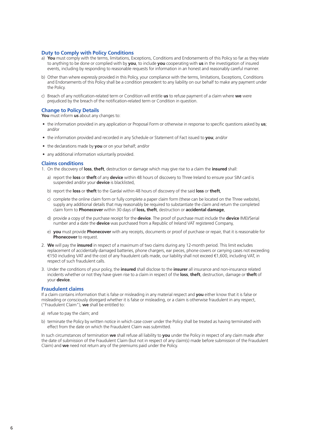#### **Duty to Comply with Policy Conditions**

- a) You must comply with the terms, limitations, Exceptions, Conditions and Endorsements of this Policy so far as they relate to anything to be done or complied with by **you**, to include **you** cooperating with **us** in the investigation of insured events, including by responding to reasonable requests for information in an honest and reasonably careful manner.
- b) Other than where expressly provided in this Policy, your compliance with the terms, limitations, Exceptions, Conditions and Endorsements of this Policy shall be a condition precedent to any liability on our behalf to make any payment under the Policy.
- c) Breach of any notification-related term or Condition will entitle **us** to refuse payment of a claim where **we** were prejudiced by the breach of the notification-related term or Condition in question.

#### **Change to Policy Details**

**You** must inform **us** about any changes to:

- the information provided in any application or Proposal Form or otherwise in response to specific questions asked by **us**; and/or
- the information provided and recorded in any Schedule or Statement of Fact issued to **you**; and/or
- the declarations made by **you** or on your behalf; and/or
- any additional information voluntarily provided.

#### **Claims conditions**

- 1. On the discovery of **loss**, **theft**, destruction or damage which may give rise to a claim the **insured** shall:
	- a) report the **loss** or **theft** of any **device** within 48 hours of discovery to Three Ireland to ensure your SIM card is suspended and/or your **device** is blacklisted,
	- b) report the **loss** or **theft** to the Gardaí within 48 hours of discovery of the said **loss** or **theft**,
	- c) complete the online claim form or fully complete a paper claim form (these can be located on the Three website), supply any additional details that may reasonably be required to substantiate the claim and return the completed claim form to **Phonecover** within 30 days of **loss, theft**, destruction or **accidental damage**,
	- d) provide a copy of the purchase receipt for the **device**. The proof of purchase must include the **device** IMEI/Serial number and a date the **device** was purchased from a Republic of Ireland VAT registered Company,
	- e) **you** must provide **Phonecover** with any receipts, documents or proof of purchase or repair, that it is reasonable for **Phonecover** to request.
- 2. **We** will pay the **insured** in respect of a maximum of two claims during any 12-month period. This limit excludes replacement of accidentally damaged batteries, phone chargers, ear pieces, phone covers or carrying cases not exceeding €150 including VAT and the cost of any fraudulent calls made, our liability shall not exceed €1,600, including VAT, in respect of such fraudulent calls.
- 3. Under the conditions of your policy, the **insured** shall disclose to the **insurer** all insurance and non-insurance related incidents whether or not they have given rise to a claim in respect of the **loss**, **theft**, destruction, damage or **theft** of your **device**.

#### **Fraudulent claims**

If a claim contains information that is false or misleading in any material respect and **you** either know that it is false or misleading or consciously disregard whether it is false or misleading, or a claim is otherwise fraudulent in any respect, ("Fraudulent Claim"), **we** shall be entitled to:

- a) refuse to pay the claim; and
- b) terminate the Policy by written notice in which case cover under the Policy shall be treated as having terminated with effect from the date on which the Fraudulent Claim was submitted.

In such circumstances of termination **we** shall refuse all liability to **you** under the Policy in respect of any claim made after the date of submission of the Fraudulent Claim (but not in respect of any claim(s) made before submission of the Fraudulent Claim) and **we** need not return any of the premiums paid under the Policy.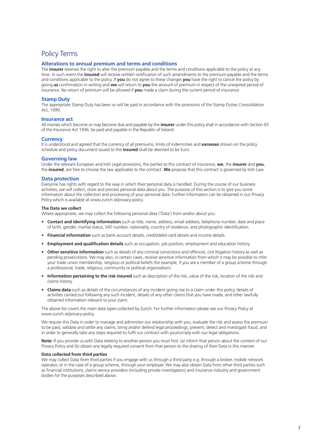### Policy Terms

#### **Alterations to annual premium and terms and conditions**

The **insurer** reserves the right to alter the premium payable and the terms and conditions applicable to the policy at any time. In such event the **insured** will receive written notification of such amendments to the premium payable and the terms and conditions applicable to the policy. If **you** do not agree to these changes **you** have the right to cancel the policy by giving **us** confirmation in writing and **we** will return to **you** the amount of premium in respect of the unexpired period of insurance. No return of premium will be allowed if **you** made a claim during the current period of insurance.

#### **Stamp Duty**

The appropriate Stamp Duty has been or will be paid in accordance with the provisions of the Stamp Duties Consolidation Act, 1999.

#### **Insurance act**

All monies which become or may become due and payable by the **insurer** under this policy shall in accordance with Section 93 of the Insurance Act 1936, be paid and payable in the Republic of Ireland.

#### **Currency**

It is understood and agreed that the currency of all premiums, limits of indemnities and **excesses** shown on the policy schedule and policy document issued to the **insured** shall be deemed to be Euro.

#### **Governing law**

Under the relevant European and Irish Legal provisions, the parties to this contract of insurance, **we**, the **insurer** and **you**, the **insured**, are free to choose the law applicable to the contract. **We** propose that this contract is governed by Irish Law.

#### **Data protection**

Everyone has rights with regard to the way in which their personal data is handled. During the course of our business activities, we will collect, store and process personal data about you. The purpose of this section is to give you some information about the collection and processing of your personal data. Further information can be obtained in our Privacy Policy which is available at www.zurich.ie/privacy-policy.

#### **The Data we collect**

Where appropriate, we may collect the following personal data ('Data') from and/or about you:

- **Contact and identifying information** such as title, name, address, email address, telephone number, date and place of birth, gender, marital status, VAT number, nationality, country of residence, and photographic identification.
- **Financial information** such as bank account details, credit/debit card details and income details.
- **Employment and qualification details** such as occupation, job position, employment and education history.
- **Other sensitive information** such as details of any criminal convictions and offences, civil litigation history as well as pending prosecutions. We may also, in certain cases, receive sensitive information from which it may be possible to infer your trade union membership, religious or political beliefs (for example, if you are a member of a group scheme through a professional, trade, religious, community or political organisation).
- **Information pertaining to the risk insured** such as description of the risk, value of the risk, location of the risk and claims history.
- **Claims data** such as details of the circumstances of any incident giving rise to a claim under this policy, details of activities carried out following any such incident, details of any other claims that you have made, and other lawfully obtained information relevant to your claim.

The above list covers the main data types collected by Zurich. For further information please see our Privacy Policy at www.zurich.ie/privacy-policy.

We require this Data in order to manage and administer our relationship with you, evaluate the risk and assess the premium to be paid, validate and settle any claims, bring and/or defend legal proceedings, prevent, detect and investigate fraud, and in order to generally take any steps required to fulfil our contract with you/comply with our legal obligations.

**Note:** If you provide us with Data relating to another person you must first: (a) inform that person about the content of our Privacy Policy and (b) obtain any legally required consent from that person to the sharing of their Data in this manner.

#### **Data collected from third parties**

We may collect Data from third parties if you engage with us through a third party e.g. through a broker, mobile network operator, or in the case of a group scheme, through your employer. We may also obtain Data from other third parties such as financial institutions, claims service providers (including private investigators) and insurance industry and government bodies for the purposes described above.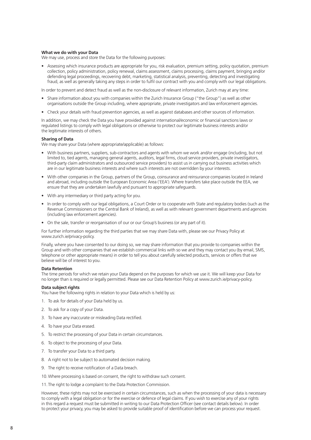#### **What we do with your Data**

We may use, process and store the Data for the following purposes:

• Assessing which insurance products are appropriate for you, risk evaluation, premium setting, policy quotation, premium collection, policy administration, policy renewal, claims assessment, claims processing, claims payment, bringing and/or defending legal proceedings, recovering debt, marketing, statistical analysis, preventing, detecting and investigating fraud, as well as generally taking any steps in order to fulfil our contract with you and comply with our legal obligations.

In order to prevent and detect fraud as well as the non-disclosure of relevant information, Zurich may at any time:

- Share information about you with companies within the Zurich Insurance Group ("the Group") as well as other organisations outside the Group including, where appropriate, private investigators and law enforcement agencies.
- Check your details with fraud prevention agencies, as well as against databases and other sources of information.

In addition, we may check the Data you have provided against international/economic or financial sanctions laws or regulated listings to comply with legal obligations or otherwise to protect our legitimate business interests and/or the legitimate interests of others.

#### **Sharing of Data**

We may share your Data (where appropriate/applicable) as follows:

- With business partners, suppliers, sub-contractors and agents with whom we work and/or engage (including, but not limited to, tied agents, managing general agents, auditors, legal firms, cloud service providers, private investigators, third-party claim administrators and outsourced service providers) to assist us in carrying out business activities which are in our legitimate business interests and where such interests are not overridden by your interests.
- With other companies in the Group, partners of the Group, coinsurance and reinsurance companies located in Ireland and abroad, including outside the European Economic Area ('EEA'). Where transfers take place outside the EEA, we ensure that they are undertaken lawfully and pursuant to appropriate safeguards.
- With any intermediary or third party acting for you.
- In order to comply with our legal obligations, a Court Order or to cooperate with State and regulatory bodies (such as the Revenue Commissioners or the Central Bank of Ireland), as well as with relevant government departments and agencies (including law enforcement agencies).
- On the sale, transfer or reorganisation of our or our Group's business (or any part of it).

For further information regarding the third parties that we may share Data with, please see our Privacy Policy at www.zurich.ie/privacy-policy.

Finally, where you have consented to our doing so, we may share information that you provide to companies within the Group and with other companies that we establish commercial links with so we and they may contact you (by email, SMS, telephone or other appropriate means) in order to tell you about carefully selected products, services or offers that we believe will be of interest to you.

#### **Data Retention**

The time periods for which we retain your Data depend on the purposes for which we use it. We will keep your Data for no longer than is required or legally permitted. Please see our Data Retention Policy at www.zurich.ie/privacy-policy.

#### **Data subject rights**

You have the following rights in relation to your Data which is held by us:

- 1. To ask for details of your Data held by us.
- 2. To ask for a copy of your Data.
- 3. To have any inaccurate or misleading Data rectified.
- 4. To have your Data erased.
- 5. To restrict the processing of your Data in certain circumstances.
- 6. To object to the processing of your Data.
- 7. To transfer your Data to a third party.
- 8. A right not to be subject to automated decision making.
- 9. The right to receive notification of a Data breach.

10.Where processing is based on consent, the right to withdraw such consent.

11. The right to lodge a complaint to the Data Protection Commission.

However, these rights may not be exercised in certain circumstances, such as when the processing of your data is necessary to comply with a legal obligation or for the exercise or defence of legal claims. If you wish to exercise any of your rights in this regard a request must be submitted in writing to our Data Protection Officer (see contact details below). In order to protect your privacy, you may be asked to provide suitable proof of identification before we can process your request.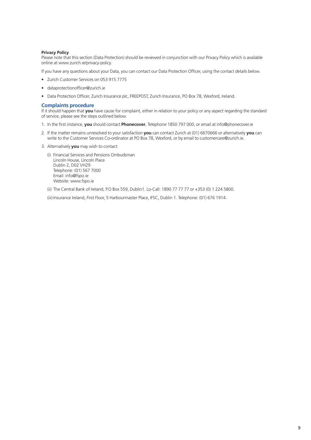#### **Privacy Policy**

Please note that this section (Data Protection) should be reviewed in conjunction with our Privacy Policy which is available online at www.zurich.ie/privacy-policy.

If you have any questions about your Data, you can contact our Data Protection Officer, using the contact details below.

- Zurich Customer Services on 053 915 7775
- dataprotectionofficer@zurich.ie
- Data Protection Officer, Zurich Insurance plc, FREEPOST, Zurich Insurance, PO Box 78, Wexford, Ireland.

#### **Complaints procedure**

If it should happen that you have cause for complaint, either in relation to your policy or any aspect regarding the standard of service, please see the steps outlined below.

- 1. In the first instance, **you** should contact **Phonecover**, Telephone 1850 797 000, or email at info@phonecover.ie
- 2. If the matter remains unresolved to your satisfaction **you** can contact Zurich at (01) 6670666 or alternatively **you** can write to the Customer Services Co-ordinator at PO Box 78, Wexford, or by email to customercare@zurich.ie.
- 3. Alternatively **you** may wish to contact:
	- (i) Financial Services and Pensions Ombudsman Lincoln House, Lincoln Place Dublin 2, D02 VH29 Telephone: (01) 567 7000 Email: info@fspo.ie Website: www.fspo.ie
	- (ii) The Central Bank of Ireland, P.O Box 559, Dublin1. Lo-Call: 1890 77 77 77 or +353 (0) 1 224 5800.

(iii) Insurance Ireland, First Floor, 5 Harbourmaster Place, IFSC, Dublin 1. Telephone: (01) 676 1914.